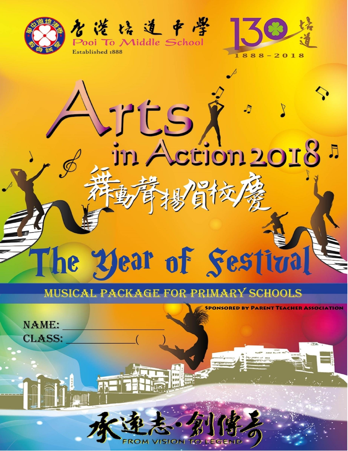





### MUSICAL PACKAGE FOR PRIMARY SCHOOLS

J'ÉSÅ

肾核

**NAME: CLASS:**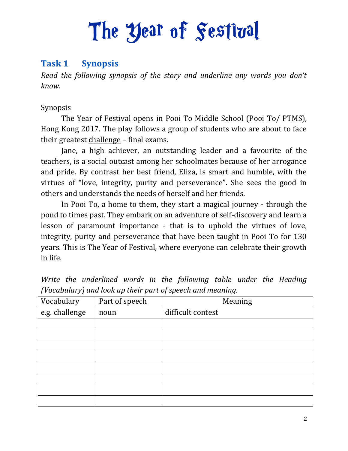#### **Task 1 Synopsis**

*Read the following synopsis of the story and underline any words you don't know.* 

#### Synopsis

The Year of Festival opens in Pooi To Middle School (Pooi To/ PTMS), Hong Kong 2017. The play follows a group of students who are about to face their greatest challenge – final exams.

Jane, a high achiever, an outstanding leader and a favourite of the teachers, is a social outcast among her schoolmates because of her arrogance and pride. By contrast her best friend, Eliza, is smart and humble, with the virtues of "love, integrity, purity and perseverance". She sees the good in others and understands the needs of herself and her friends.

In Pooi To, a home to them, they start a magical journey - through the pond to times past. They embark on an adventure of self-discovery and learn a lesson of paramount importance - that is to uphold the virtues of love, integrity, purity and perseverance that have been taught in Pooi To for 130 years. This is The Year of Festival, where everyone can celebrate their growth in life.

| Vocabulary     | Part of speech | Meaning           |
|----------------|----------------|-------------------|
| e.g. challenge | noun           | difficult contest |
|                |                |                   |
|                |                |                   |
|                |                |                   |
|                |                |                   |
|                |                |                   |
|                |                |                   |
|                |                |                   |
|                |                |                   |

*Write the underlined words in the following table under the Heading (Vocabulary) and look up their part of speech and meaning.*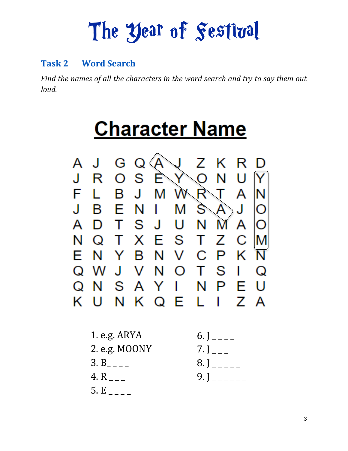#### **Task 2 Word Search**

*Find the names of all the characters in the word search and try to say them out loud.*

### **Character Name**



| 1. e.g. ARYA  | 6. $J_{---}$           |
|---------------|------------------------|
| 2. e.g. MOONY | $7.1$ $ -$             |
| 3. B          | $8. J_{---}$           |
| 4. R          | $9.1$ <sub>-----</sub> |
| 5. E          |                        |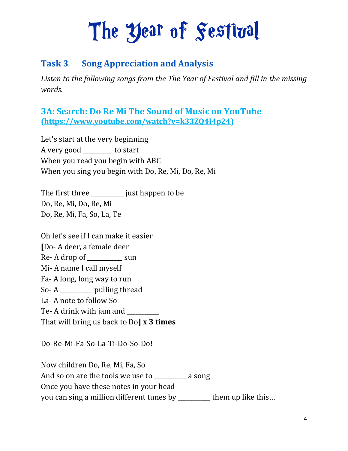### **Task 3 Song Appreciation and Analysis**

*Listen to the following songs from the The Year of Festival and fill in the missing words.* 

**3A: Search: Do Re Mi The Sound of Music on YouTube [\(https://www.youtube.com/watch?v=k33ZQ4I4p24\)](https://www.youtube.com/watch?v=k33ZQ4I4p24)**

Let's start at the very beginning A very good \_\_\_\_\_\_\_\_\_\_ to start When you read you begin with ABC When you sing you begin with Do, Re, Mi, Do, Re, Mi

The first three \_\_\_\_\_\_\_\_\_\_\_ just happen to be Do, Re, Mi, Do, Re, Mi Do, Re, Mi, Fa, So, La, Te

Oh let's see if I can make it easier **[**Do- A deer, a female deer Re- A drop of sun Mi- A name I call myself Fa- A long, long way to run So- A \_\_\_\_\_\_\_\_\_\_ pulling thread La- A note to follow So Te- A drink with jam and That will bring us back to Do**] x 3 times**

Do-Re-Mi-Fa-So-La-Ti-Do-So-Do!

Now children Do, Re, Mi, Fa, So And so on are the tools we use to a song Once you have these notes in your head you can sing a million different tunes by \_\_\_\_\_\_\_\_\_\_\_ them up like this…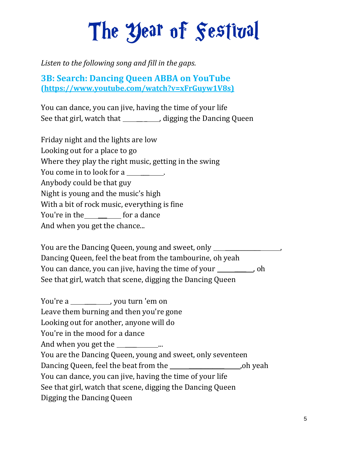*Listen to the following song and fill in the gaps.*

**3B: Search: Dancing Queen ABBA on YouTube [\(https://www.youtube.com/watch?v=xFrGuyw1V8s\)](https://www.youtube.com/watch?v=xFrGuyw1V8s)**

You can dance, you can jive, having the time of your life See that girl, watch that \_\_\_\_\_\_\_\_\_\_\_, digging the Dancing Queen

| Friday night and the lights are low                   |  |  |  |  |
|-------------------------------------------------------|--|--|--|--|
| Looking out for a place to go                         |  |  |  |  |
| Where they play the right music, getting in the swing |  |  |  |  |
| You come in to look for a                             |  |  |  |  |
| Anybody could be that guy                             |  |  |  |  |
| Night is young and the music's high                   |  |  |  |  |
| With a bit of rock music, everything is fine          |  |  |  |  |
| You're in the for a dance                             |  |  |  |  |
| And when you get the chance                           |  |  |  |  |

You are the Dancing Queen, young and sweet, only \_\_\_\_\_\_\_\_\_\_\_\_\_\_\_\_\_\_\_\_\_\_\_\_\_\_\_\_\_\_\_ Dancing Queen, feel the beat from the tambourine, oh yeah You can dance, you can jive, having the time of your \_\_\_\_\_\_\_\_\_, oh See that girl, watch that scene, digging the Dancing Queen

| You're a _____________, you turn 'em on                    |  |
|------------------------------------------------------------|--|
| Leave them burning and then you're gone                    |  |
| Looking out for another, anyone will do                    |  |
| You're in the mood for a dance                             |  |
| And when you get the _______________                       |  |
| You are the Dancing Queen, young and sweet, only seventeen |  |
|                                                            |  |
| You can dance, you can jive, having the time of your life  |  |
| See that girl, watch that scene, digging the Dancing Queen |  |
| Digging the Dancing Queen                                  |  |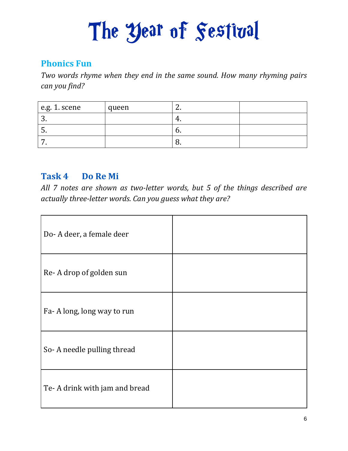#### **Phonics Fun**

*Two words rhyme when they end in the same sound. How many rhyming pairs can you find?*

| e.g. 1. scene | queen | <u>.</u> |  |
|---------------|-------|----------|--|
| ັບເ           |       |          |  |
| , س           |       | о.       |  |
|               |       | v.       |  |

#### **Task 4 Do Re Mi**

*All 7 notes are shown as two-letter words, but 5 of the things described are actually three-letter words. Can you guess what they are?*

| Do-A deer, a female deer      |  |
|-------------------------------|--|
| Re-A drop of golden sun       |  |
| Fa-A long, long way to run    |  |
| So-A needle pulling thread    |  |
| Te-A drink with jam and bread |  |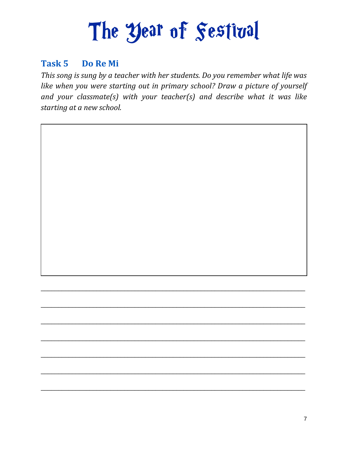#### **Task 5 Do Re Mi**

*This song is sung by a teacher with her students. Do you remember what life was like when you were starting out in primary school? Draw a picture of yourself and your classmate(s) with your teacher(s) and describe what it was like starting at a new school.*

\_\_\_\_\_\_\_\_\_\_\_\_\_\_\_\_\_\_\_\_\_\_\_\_\_\_\_\_\_\_\_\_\_\_\_\_\_\_\_\_\_\_\_\_\_\_\_\_\_\_\_\_\_\_\_\_\_\_\_\_\_\_\_\_\_\_\_\_\_\_\_\_\_\_\_\_

\_\_\_\_\_\_\_\_\_\_\_\_\_\_\_\_\_\_\_\_\_\_\_\_\_\_\_\_\_\_\_\_\_\_\_\_\_\_\_\_\_\_\_\_\_\_\_\_\_\_\_\_\_\_\_\_\_\_\_\_\_\_\_\_\_\_\_\_\_\_\_\_\_\_\_\_

\_\_\_\_\_\_\_\_\_\_\_\_\_\_\_\_\_\_\_\_\_\_\_\_\_\_\_\_\_\_\_\_\_\_\_\_\_\_\_\_\_\_\_\_\_\_\_\_\_\_\_\_\_\_\_\_\_\_\_\_\_\_\_\_\_\_\_\_\_\_\_\_\_\_\_\_

\_\_\_\_\_\_\_\_\_\_\_\_\_\_\_\_\_\_\_\_\_\_\_\_\_\_\_\_\_\_\_\_\_\_\_\_\_\_\_\_\_\_\_\_\_\_\_\_\_\_\_\_\_\_\_\_\_\_\_\_\_\_\_\_\_\_\_\_\_\_\_\_\_\_\_\_

\_\_\_\_\_\_\_\_\_\_\_\_\_\_\_\_\_\_\_\_\_\_\_\_\_\_\_\_\_\_\_\_\_\_\_\_\_\_\_\_\_\_\_\_\_\_\_\_\_\_\_\_\_\_\_\_\_\_\_\_\_\_\_\_\_\_\_\_\_\_\_\_\_\_\_\_

\_\_\_\_\_\_\_\_\_\_\_\_\_\_\_\_\_\_\_\_\_\_\_\_\_\_\_\_\_\_\_\_\_\_\_\_\_\_\_\_\_\_\_\_\_\_\_\_\_\_\_\_\_\_\_\_\_\_\_\_\_\_\_\_\_\_\_\_\_\_\_\_\_\_\_\_

\_\_\_\_\_\_\_\_\_\_\_\_\_\_\_\_\_\_\_\_\_\_\_\_\_\_\_\_\_\_\_\_\_\_\_\_\_\_\_\_\_\_\_\_\_\_\_\_\_\_\_\_\_\_\_\_\_\_\_\_\_\_\_\_\_\_\_\_\_\_\_\_\_\_\_\_